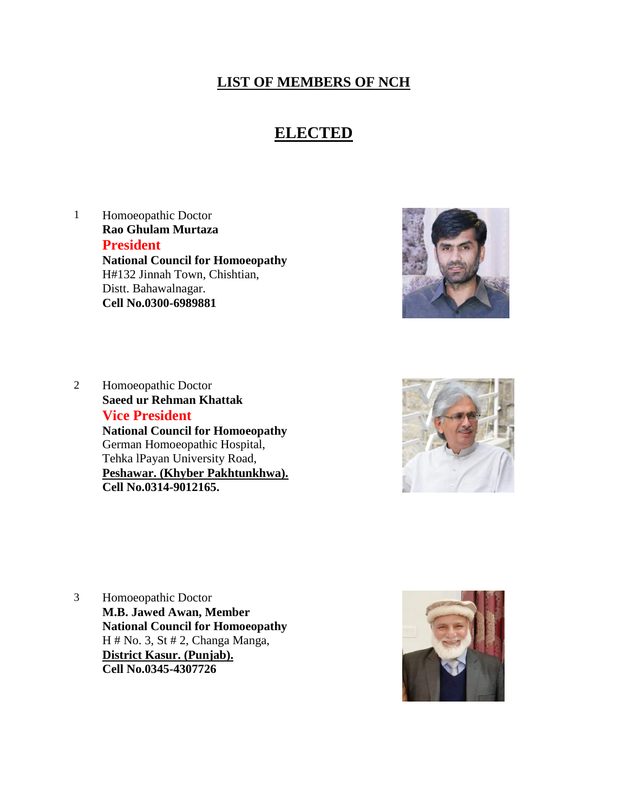## **LIST OF MEMBERS OF NCH**

## **ELECTED**

1 Homoeopathic Doctor **Rao Ghulam Murtaza President National Council for Homoeopathy** H#132 Jinnah Town, Chishtian, Distt. Bahawalnagar. **Cell No.0300-6989881**



2 Homoeopathic Doctor **Saeed ur Rehman Khattak Vice President National Council for Homoeopathy** German Homoeopathic Hospital, Tehka lPayan University Road, **Peshawar. (Khyber Pakhtunkhwa). Cell No.0314-9012165.**



3 Homoeopathic Doctor **M.B. Jawed Awan, Member National Council for Homoeopathy** H # No. 3, St # 2, Changa Manga, **District Kasur. (Punjab). Cell No.0345-4307726**

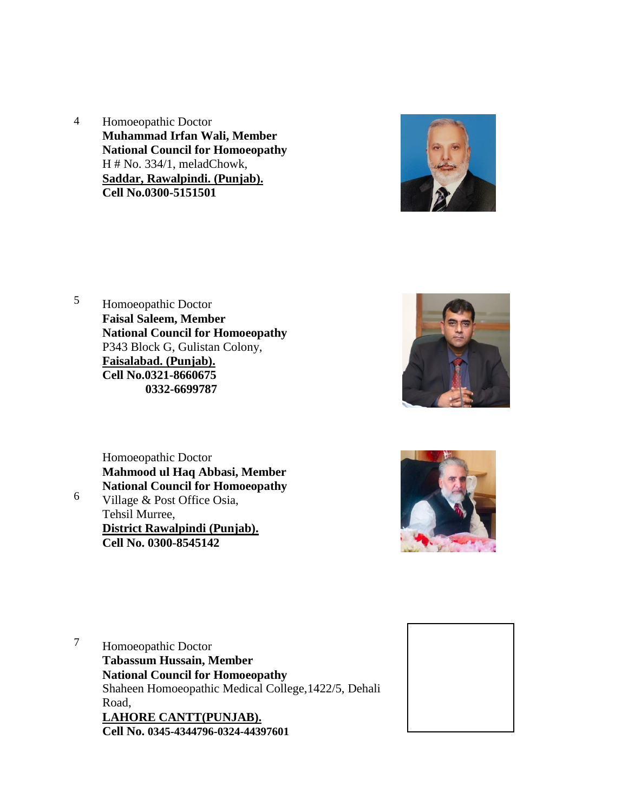4 Homoeopathic Doctor **Muhammad Irfan Wali, Member National Council for Homoeopathy** H # No. 334/1, meladChowk, **Saddar, Rawalpindi. (Punjab). Cell No.0300-5151501**



5 Homoeopathic Doctor **Faisal Saleem, Member National Council for Homoeopathy** P343 Block G, Gulistan Colony, **Faisalabad. (Punjab). Cell No.0321-8660675 0332-6699787**







7 Homoeopathic Doctor **Tabassum Hussain, Member National Council for Homoeopathy** Shaheen Homoeopathic Medical College,1422/5, Dehali Road, **LAHORE CANTT(PUNJAB). Cell No. 0345-4344796-0324-44397601**

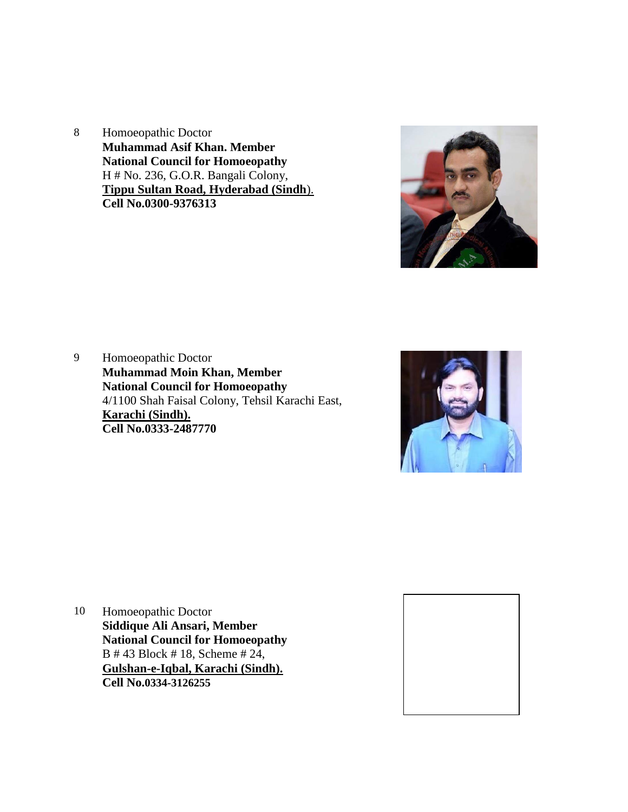8 Homoeopathic Doctor **Muhammad Asif Khan. Member National Council for Homoeopathy** H # No. 236, G.O.R. Bangali Colony, **Tippu Sultan Road, Hyderabad (Sindh**). **Cell No.0300-9376313**



9 Homoeopathic Doctor **Muhammad Moin Khan, Member National Council for Homoeopathy** 4/1100 Shah Faisal Colony, Tehsil Karachi East, **Karachi (Sindh). Cell No.0333-2487770**



10 Homoeopathic Doctor **Siddique Ali Ansari, Member National Council for Homoeopathy** B # 43 Block # 18, Scheme # 24, **Gulshan-e-Iqbal, Karachi (Sindh). Cell No.0334-3126255**

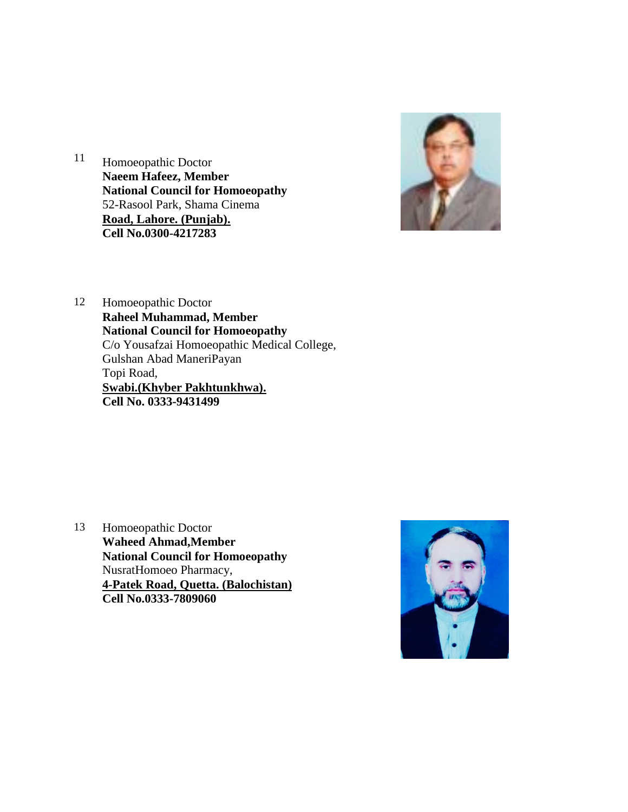



12 Homoeopathic Doctor **Raheel Muhammad, Member National Council for Homoeopathy** C/o Yousafzai Homoeopathic Medical College, Gulshan Abad ManeriPayan Topi Road, **Swabi.(Khyber Pakhtunkhwa). Cell No. 0333-9431499**

13 Homoeopathic Doctor **Waheed Ahmad,Member National Council for Homoeopathy** NusratHomoeo Pharmacy, **4-Patek Road, Quetta. (Balochistan) Cell No.0333-7809060**

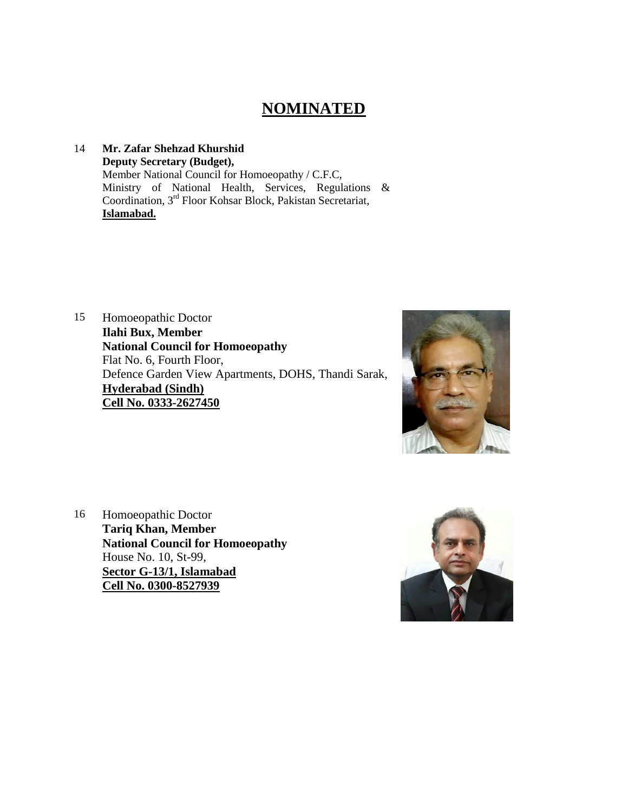## **NOMINATED**

## 14 **Mr. Zafar Shehzad Khurshid Deputy Secretary (Budget),** Member National Council for Homoeopathy / C.F.C, Ministry of National Health, Services, Regulations & Coordination, 3<sup>rd</sup> Floor Kohsar Block, Pakistan Secretariat, **Islamabad.**

15 Homoeopathic Doctor **Ilahi Bux, Member National Council for Homoeopathy** Flat No. 6, Fourth Floor, Defence Garden View Apartments, DOHS, Thandi Sarak, **Hyderabad (Sindh) Cell No. 0333-2627450**



16 Homoeopathic Doctor **Tariq Khan, Member National Council for Homoeopathy** House No. 10, St-99, **Sector G-13/1, Islamabad Cell No. 0300-8527939**

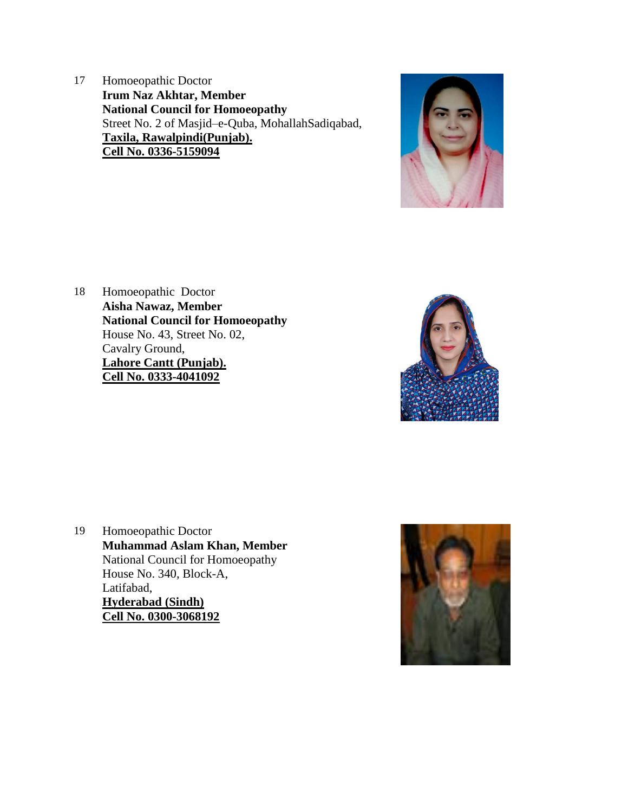17 Homoeopathic Doctor **Irum Naz Akhtar, Member National Council for Homoeopathy** Street No. 2 of Masjid–e-Quba, MohallahSadiqabad, **Taxila, Rawalpindi(Punjab). Cell No. 0336-5159094**



18 Homoeopathic Doctor **Aisha Nawaz, Member National Council for Homoeopathy** House No. 43, Street No. 02, Cavalry Ground, **Lahore Cantt (Punjab). Cell No. 0333-4041092**



19 Homoeopathic Doctor **Muhammad Aslam Khan, Member** National Council for Homoeopathy House No. 340, Block-A, Latifabad, **Hyderabad (Sindh) Cell No. 0300-3068192**